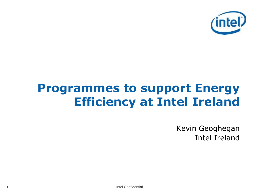

## **Programmes to support Energy Efficiency at Intel Ireland**

Kevin Geoghegan Intel Ireland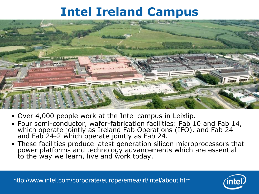## **Intel Ireland Campus**



- Over 4,000 people work at the Intel campus in Leixlip.
- Four semi-conductor, wafer-fabrication facilities: Fab 10 and Fab 14, which operate jointly as Ireland Fab Operations (IFO), and Fab 24 and Fab 24-2 which operate jointly as Fab 24.
- These facilities produce latest generation silicon microprocessors that power platforms and technology advancements which are essential to the way we learn, live and work today.

http://www.intel.com/corporate/europe/emea/irl/intel/about.htm

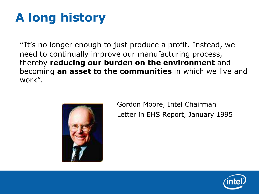# **A long history**

"It's no longer enough to just produce a profit. Instead, we need to continually improve our manufacturing process, thereby **reducing our burden on the environment** and becoming **an asset to the communities** in which we live and work".



Gordon Moore, Intel Chairman Letter in EHS Report, January 1995

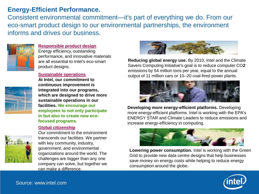#### **Energy-Efficient Performance.**

Consistent environmental commitment—it's part of everything we do. From our eco-smart product design to our environmental partnerships, the environment informs and drives our business.



#### **[Responsible product design](http://www.intel.com/intel/environment/responsible-product-design.htm?iid=env_index+body_rpd)**

Energy efficiency, outstanding performance, and innovative materials are all essential to Intel's eco-smart product designs.

#### **[Sustainable operations](http://www.intel.com/intel/environment/sustainable-operations.htm?iid=env_index+body_so)**



**At Intel, our commitment to continuous improvement is integrated into our programs, which are designed to drive more sustainable operations in our facilities. We encourage our employees to not only participate in but also to create new ecofocused programs.**

#### **[Global citizenship](http://www.intel.com/intel/environment/global-citizenship.htm?iid=env_index+body_gc)**



Our commitment to the environment transcends our facilities. We partner with key community, industry, government, and environmental organizations around the world. The challenges are bigger than any one company can solve, but together we can make a difference.



**Reducing global energy use.** By 2010, Intel and the Climate Savers Computing Initiative's goal is to reduce computer CO**2** emissions by 54 million tons per year, equal to the annual output of 11 million cars or 10–20 coal-fired power plants.



**Developing more energy-efficient platforms.** Developing more energy-efficient platforms. Intel is working with the EPA's ENERGY STAR and Climate Leaders to reduce emissions and increase energy-efficiency in computing.



**Lowering power consumption.** Intel is working with the Green Grid to provide new data centre designs that help businesses save money on energy costs while helping to reduce energy consumption around the globe.

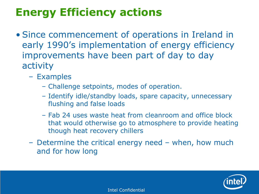### **Energy Efficiency actions**

- Since commencement of operations in Ireland in early 1990's implementation of energy efficiency improvements have been part of day to day activity
	- Examples
		- Challenge setpoints, modes of operation.
		- Identify idle/standby loads, spare capacity, unnecessary flushing and false loads
		- Fab 24 uses waste heat from cleanroom and office block that would otherwise go to atmosphere to provide heating though heat recovery chillers
	- Determine the critical energy need when, how much and for how long

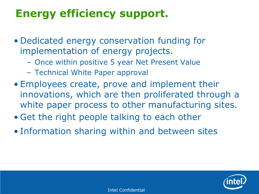## **Energy efficiency support.**

- Dedicated energy conservation funding for implementation of energy projects.
	- Once within positive 5 year Net Present Value
	- Technical White Paper approval
- Employees create, prove and implement their innovations, which are then proliferated through a white paper process to other manufacturing sites.
- Get the right people talking to each other
- Information sharing within and between sites

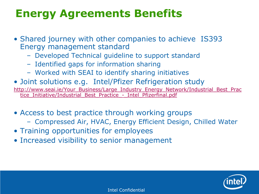### **Energy Agreements Benefits**

- Shared journey with other companies to achieve IS393 Energy management standard
	- Developed Technical guideline to support standard
	- Identified gaps for information sharing
	- Worked with SEAI to identify sharing initiatives
- Joint solutions e.g. Intel/Pfizer Refrigeration study [http://www.seai.ie/Your\\_Business/Large\\_Industry\\_Energy\\_Network/Industrial\\_Best\\_Prac](http://www.seai.ie/Your_Business/Large_Industry_Energy_Network/Industrial_Best_Practice_Initiative/Industrial_Best_Practice_-_Intel_Pfizerfinal.pdf) [tice\\_Initiative/Industrial\\_Best\\_Practice\\_-\\_Intel\\_Pfizerfinal.pdf](http://www.seai.ie/Your_Business/Large_Industry_Energy_Network/Industrial_Best_Practice_Initiative/Industrial_Best_Practice_-_Intel_Pfizerfinal.pdf)
- Access to best practice through working groups
	- Compressed Air, HVAC, Energy Efficient Design, Chilled Water
- Training opportunities for employees
- Increased visibility to senior management

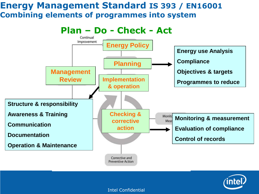#### **Energy Management Standard IS 393 / EN16001 Combining elements of programmes into system**



Intel Confidential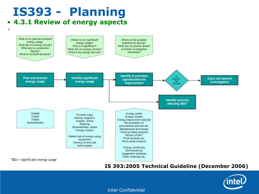# **IS393 - Planning**

#### • **4.3.1 Review of energy aspects**

•



**IS 393:2005 Technical Guideline (December 2006)**



Intel Confidential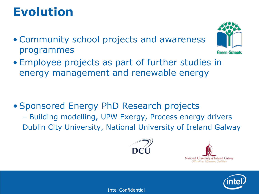## **Evolution**

• Community school projects and awareness programmes



• Employee projects as part of further studies in energy management and renewable energy

- Sponsored Energy PhD Research projects
	- Building modelling, UPW Exergy, Process energy drivers Dublin City University, National University of Ireland Galway





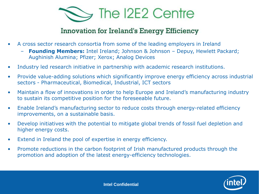

#### **Innovation for Ireland's Energy Efficiency**

- A cross sector research consortia from some of the leading employers in Ireland
	- **Founding Members:** Intel Ireland; Johnson & Johnson Depuy, Hewlett Packard; Aughinish Alumina; Pfizer; Xerox; Analog Devices
- Industry led research initiative in partnership with academic research institutions.
- Provide value-adding solutions which significantly improve energy efficiency across industrial sectors - Pharmaceutical, Biomedical, Industrial, ICT sectors
- Maintain a flow of innovations in order to help Europe and Ireland's manufacturing industry to sustain its competitive position for the foreseeable future.
- Enable Ireland's manufacturing sector to reduce costs through energy-related efficiency improvements, on a sustainable basis.
- Develop initiatives with the potential to mitigate global trends of fossil fuel depletion and higher energy costs.
- Extend in Ireland the pool of expertise in energy efficiency.
- Promote reductions in the carbon footprint of Irish manufactured products through the promotion and adoption of the latest energy-efficiency technologies.